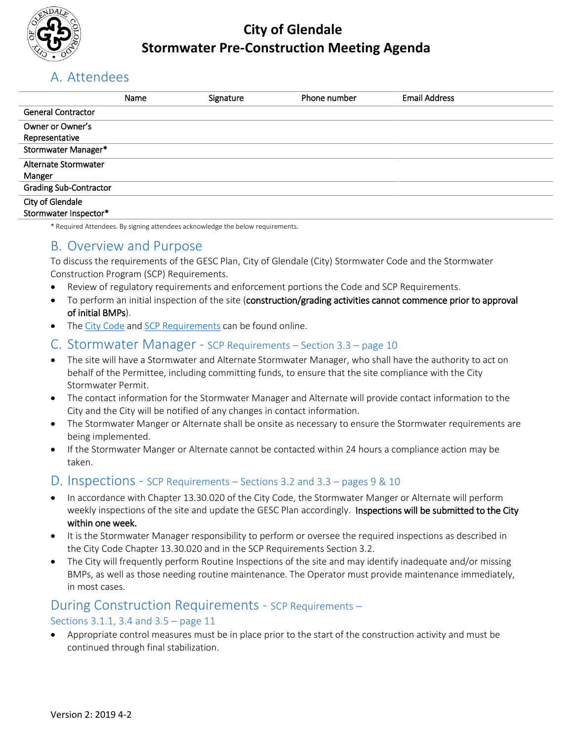

# **City of Glendale Stormwater Pre-Construction Meeting Agenda**

## A. Attendees

|                               | Name | Signature | Phone number | <b>Email Address</b> |
|-------------------------------|------|-----------|--------------|----------------------|
| <b>General Contractor</b>     |      |           |              |                      |
| Owner or Owner's              |      |           |              |                      |
| Representative                |      |           |              |                      |
| Stormwater Manager*           |      |           |              |                      |
| Alternate Stormwater          |      |           |              |                      |
| Manger                        |      |           |              |                      |
| <b>Grading Sub-Contractor</b> |      |           |              |                      |
| City of Glendale              |      |           |              |                      |
| Stormwater Inspector*         |      |           |              |                      |

\* Required Attendees. By signing attendees acknowledge the below requirements.

## B. Overview and Purpose

To discuss the requirements of the GESC Plan, City of Glendale (City) Stormwater Code and the Stormwater Construction Program (SCP) Requirements.

- Review of regulatory requirements and enforcement portions the Code and SCP Requirements.
- To perform an initial inspection of the site (construction/grading activities cannot commence prior to approval of initial BMPs).
- The [City Code](https://www.codepublishing.com/CO/Glendale/#!/Glendale13/Glendale1330.html) an[d SCP Requirements](http://www.glendale.co.us/index.aspx?NID=179) can be found online.

### C. Stormwater Manager - SCP Requirements – Section 3.3 – page 10

- The site will have a Stormwater and Alternate Stormwater Manager, who shall have the authority to act on behalf of the Permittee, including committing funds, to ensure that the site compliance with the City Stormwater Permit.
- The contact information for the Stormwater Manager and Alternate will provide contact information to the City and the City will be notified of any changes in contact information.
- The Stormwater Manger or Alternate shall be onsite as necessary to ensure the Stormwater requirements are being implemented.
- If the Stormwater Manger or Alternate cannot be contacted within 24 hours a compliance action may be taken.

#### D. Inspections - SCP Requirements – Sections 3.2 and 3.3 – pages 9 & 10

- In accordance with Chapter 13.30.020 of the City Code, the Stormwater Manger or Alternate will perform weekly inspections of the site and update the GESC Plan accordingly. Inspections will be submitted to the City within one week.
- It is the Stormwater Manager responsibility to perform or oversee the required inspections as described in the City Code Chapter 13.30.020 and in the SCP Requirements Section 3.2.
- The City will frequently perform Routine Inspections of the site and may identify inadequate and/or missing BMPs, as well as those needing routine maintenance. The Operator must provide maintenance immediately, in most cases.

### During Construction Requirements - SCP Requirements –

#### Sections 3.1.1, 3.4 and 3.5 – page 11

 Appropriate control measures must be in place prior to the start of the construction activity and must be continued through final stabilization.